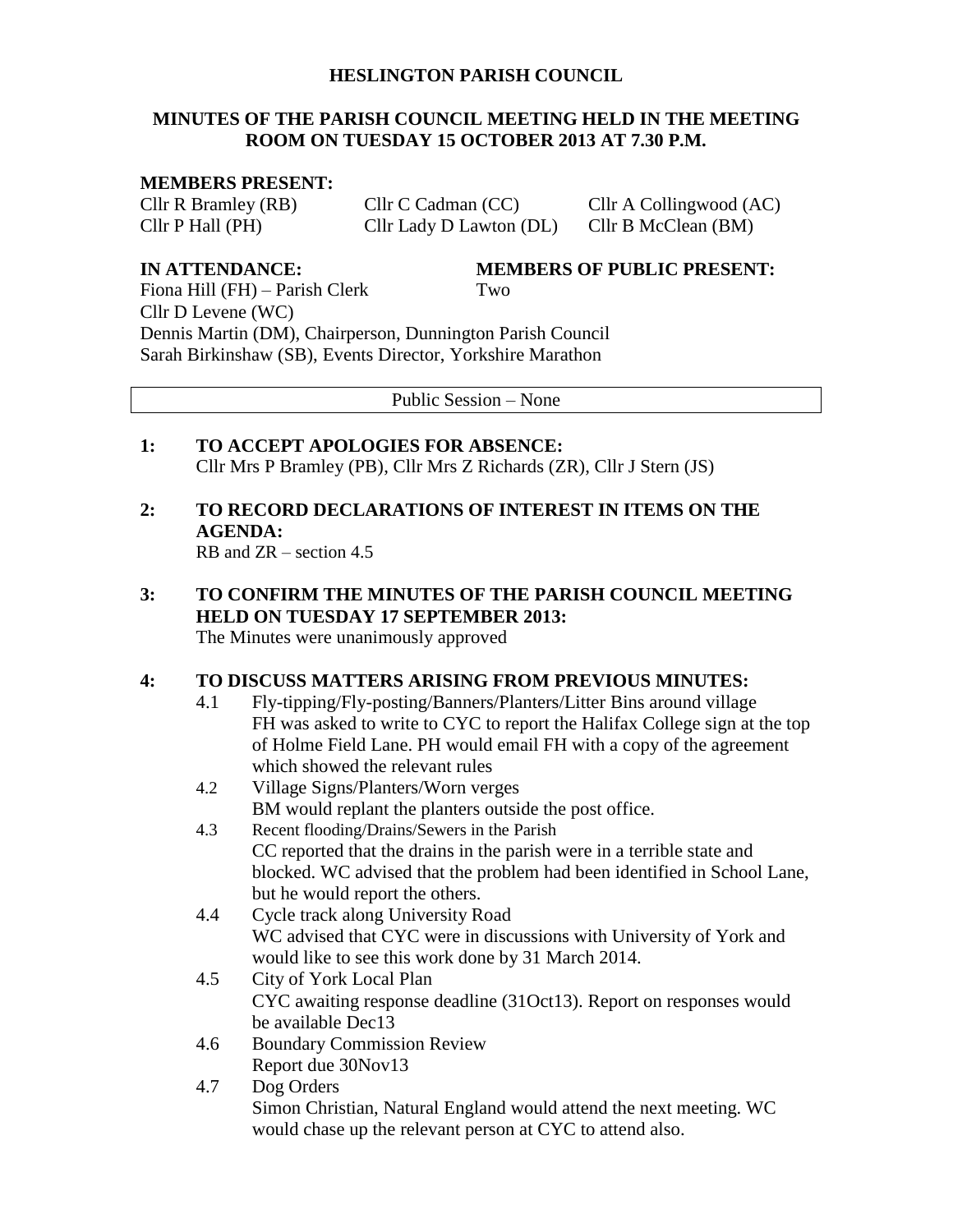## **HESLINGTON PARISH COUNCIL**

## **MINUTES OF THE PARISH COUNCIL MEETING HELD IN THE MEETING ROOM ON TUESDAY 15 OCTOBER 2013 AT 7.30 P.M.**

### **MEMBERS PRESENT:**

Cllr P Hall (PH) Cllr Lady D Lawton (DL) Cllr B McClean (BM)

Cllr R Bramley (RB) Cllr C Cadman (CC) Cllr A Collingwood (AC)

**IN ATTENDANCE: MEMBERS OF PUBLIC PRESENT:**

Fiona Hill (FH) – Parish Clerk Two Cllr D Levene (WC) Dennis Martin (DM), Chairperson, Dunnington Parish Council Sarah Birkinshaw (SB), Events Director, Yorkshire Marathon

Public Session – None

**1: TO ACCEPT APOLOGIES FOR ABSENCE:** Cllr Mrs P Bramley (PB), Cllr Mrs Z Richards (ZR), Cllr J Stern (JS)

# **2: TO RECORD DECLARATIONS OF INTEREST IN ITEMS ON THE AGENDA:**

RB and ZR – section 4.5

- **3: TO CONFIRM THE MINUTES OF THE PARISH COUNCIL MEETING HELD ON TUESDAY 17 SEPTEMBER 2013:** The Minutes were unanimously approved **4: TO DISCUSS MATTERS ARISING FROM PREVIOUS MINUTES:**
	- 4.1 Fly-tipping/Fly-posting/Banners/Planters/Litter Bins around village FH was asked to write to CYC to report the Halifax College sign at the top of Holme Field Lane. PH would email FH with a copy of the agreement which showed the relevant rules
	- 4.2 Village Signs/Planters/Worn verges BM would replant the planters outside the post office.
	- 4.3 Recent flooding/Drains/Sewers in the Parish CC reported that the drains in the parish were in a terrible state and blocked. WC advised that the problem had been identified in School Lane, but he would report the others.
	- 4.4 Cycle track along University Road WC advised that CYC were in discussions with University of York and would like to see this work done by 31 March 2014.
	- 4.5 City of York Local Plan CYC awaiting response deadline (31Oct13). Report on responses would be available Dec13
	- 4.6 Boundary Commission Review Report due 30Nov13
	- 4.7 Dog Orders Simon Christian, Natural England would attend the next meeting. WC would chase up the relevant person at CYC to attend also.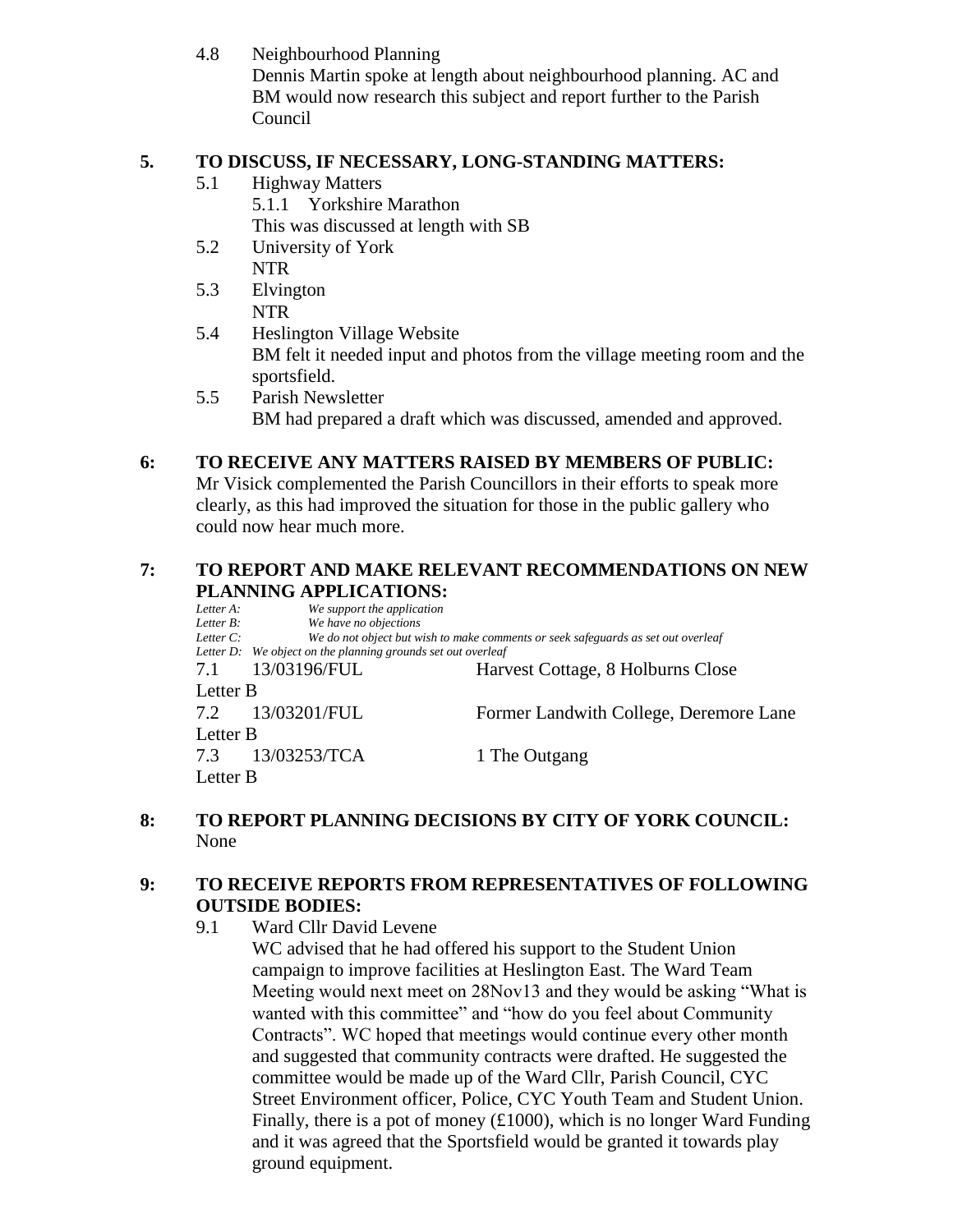4.8 Neighbourhood Planning

Dennis Martin spoke at length about neighbourhood planning. AC and BM would now research this subject and report further to the Parish Council

# **5. TO DISCUSS, IF NECESSARY, LONG-STANDING MATTERS:**

5.1 Highway Matters

5.1.1 Yorkshire Marathon

This was discussed at length with SB

- 5.2 University of York NTR
- 5.3 Elvington NTR
- 5.4 Heslington Village Website BM felt it needed input and photos from the village meeting room and the sportsfield.
- 5.5 Parish Newsletter BM had prepared a draft which was discussed, amended and approved.

## **6: TO RECEIVE ANY MATTERS RAISED BY MEMBERS OF PUBLIC:**

Mr Visick complemented the Parish Councillors in their efforts to speak more clearly, as this had improved the situation for those in the public gallery who could now hear much more.

# **7: TO REPORT AND MAKE RELEVANT RECOMMENDATIONS ON NEW PLANNING APPLICATIONS:**<br>Letter A: We support the application

*We support the application Letter B: We have no objections Letter C: We do not object but wish to make comments or seek safeguards as set out overleaf Letter D: We object on the planning grounds set out overleaf* 7.1 13/03196/FUL Harvest Cottage, 8 Holburns Close Letter B 7.2 13/03201/FUL Former Landwith College, Deremore Lane Letter B 7.3 13/03253/TCA 1 The Outgang Letter B

## **8: TO REPORT PLANNING DECISIONS BY CITY OF YORK COUNCIL:** None

# **9: TO RECEIVE REPORTS FROM REPRESENTATIVES OF FOLLOWING OUTSIDE BODIES:**

9.1 Ward Cllr David Levene

WC advised that he had offered his support to the Student Union campaign to improve facilities at Heslington East. The Ward Team Meeting would next meet on 28Nov13 and they would be asking "What is wanted with this committee" and "how do you feel about Community Contracts". WC hoped that meetings would continue every other month and suggested that community contracts were drafted. He suggested the committee would be made up of the Ward Cllr, Parish Council, CYC Street Environment officer, Police, CYC Youth Team and Student Union. Finally, there is a pot of money (£1000), which is no longer Ward Funding and it was agreed that the Sportsfield would be granted it towards play ground equipment.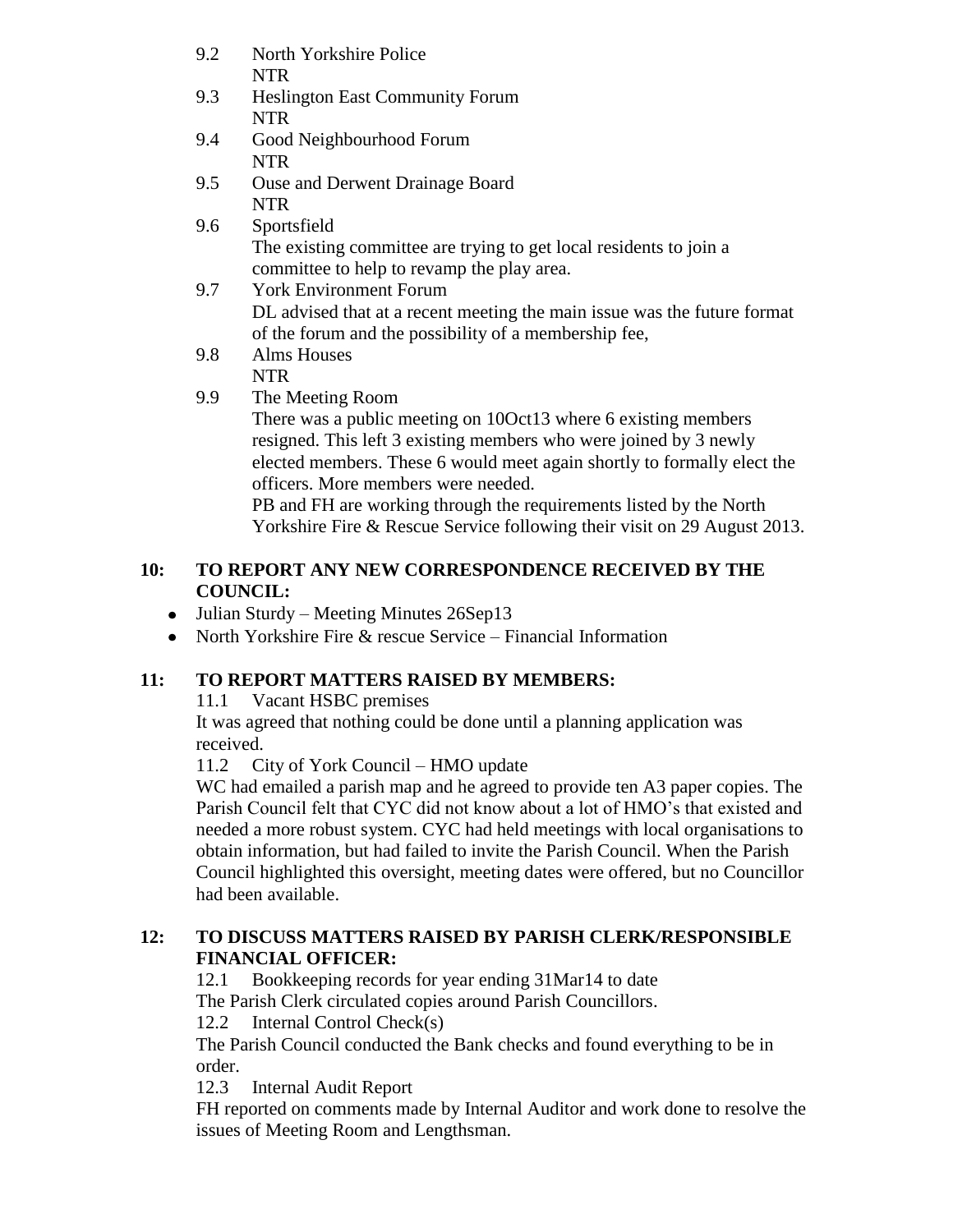| 9.2 | North Yorkshire Police                                                   |
|-----|--------------------------------------------------------------------------|
|     | <b>NTR</b>                                                               |
| 9.3 | <b>Heslington East Community Forum</b>                                   |
|     | <b>NTR</b>                                                               |
| 9.4 | Good Neighbourhood Forum                                                 |
|     | <b>NTR</b>                                                               |
| 9.5 | <b>Ouse and Derwent Drainage Board</b>                                   |
|     | <b>NTR</b>                                                               |
| 9.6 | Sportsfield                                                              |
|     | The existing committee are trying to get local residents to join a       |
|     | committee to help to revamp the play area.                               |
| 9.7 | <b>York Environment Forum</b>                                            |
|     | DL advised that at a recent meeting the main issue was the future format |
|     | of the forum and the possibility of a membership fee,                    |
| 9.8 | Alms Houses                                                              |
|     | <b>NTR</b>                                                               |
| 9.9 | The Meeting Room                                                         |

There was a public meeting on 10Oct13 where 6 existing members resigned. This left 3 existing members who were joined by 3 newly elected members. These 6 would meet again shortly to formally elect the officers. More members were needed.

PB and FH are working through the requirements listed by the North Yorkshire Fire & Rescue Service following their visit on 29 August 2013.

## **10: TO REPORT ANY NEW CORRESPONDENCE RECEIVED BY THE COUNCIL:**

- Julian Sturdy Meeting Minutes 26Sep13
- North Yorkshire Fire  $\&$  rescue Service Financial Information

## **11: TO REPORT MATTERS RAISED BY MEMBERS:**

11.1 Vacant HSBC premises

It was agreed that nothing could be done until a planning application was received.

11.2 City of York Council – HMO update

WC had emailed a parish map and he agreed to provide ten A3 paper copies. The Parish Council felt that CYC did not know about a lot of HMO's that existed and needed a more robust system. CYC had held meetings with local organisations to obtain information, but had failed to invite the Parish Council. When the Parish Council highlighted this oversight, meeting dates were offered, but no Councillor had been available.

# **12: TO DISCUSS MATTERS RAISED BY PARISH CLERK/RESPONSIBLE FINANCIAL OFFICER:**

12.1 Bookkeeping records for year ending 31Mar14 to date

The Parish Clerk circulated copies around Parish Councillors.

12.2 Internal Control Check(s)

The Parish Council conducted the Bank checks and found everything to be in order.

12.3 Internal Audit Report

FH reported on comments made by Internal Auditor and work done to resolve the issues of Meeting Room and Lengthsman.